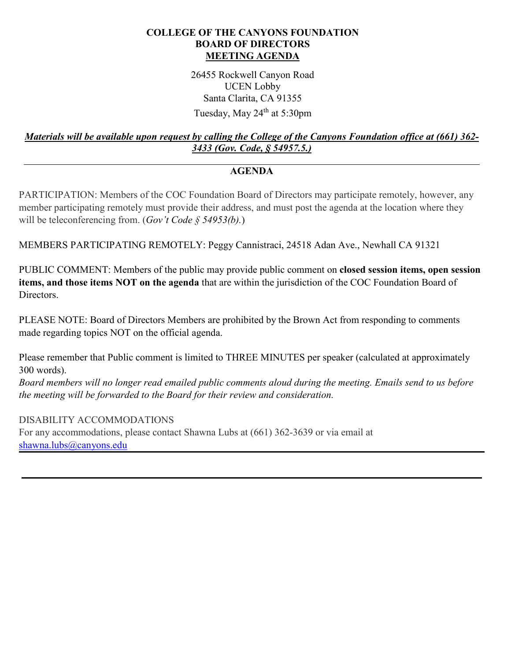## **COLLEGE OF THE CANYONS FOUNDATION BOARD OF DIRECTORS MEETING AGENDA**

26455 Rockwell Canyon Road UCEN Lobby Santa Clarita, CA 91355 Tuesday, May 24<sup>th</sup> at 5:30pm

## *Materials will be available upon request by calling the College of the Canyons Foundation office at (661) 362- 3433 (Gov. Code, § 54957.5.)*

## **AGENDA**

PARTICIPATION: Members of the COC Foundation Board of Directors may participate remotely, however, any member participating remotely must provide their address, and must post the agenda at the location where they will be teleconferencing from. (*Gov't Code § 54953(b).*)

MEMBERS PARTICIPATING REMOTELY: Peggy Cannistraci, 24518 Adan Ave., Newhall CA 91321

PUBLIC COMMENT: Members of the public may provide public comment on **closed session items, open session items, and those items NOT on the agenda** that are within the jurisdiction of the COC Foundation Board of Directors.

PLEASE NOTE: Board of Directors Members are prohibited by the Brown Act from responding to comments made regarding topics NOT on the official agenda.

Please remember that Public comment is limited to THREE MINUTES per speaker (calculated at approximately 300 words).

*Board members will no longer read emailed public comments aloud during the meeting. Emails send to us before the meeting will be forwarded to the Board for their review and consideration.* 

DISABILITY ACCOMMODATIONS

For any accommodations, please contact Shawna Lubs at (661) 362-3639 or via email at [shawna.lubs@canyons.edu](mailto:shawna.lubs@canyons.edu)